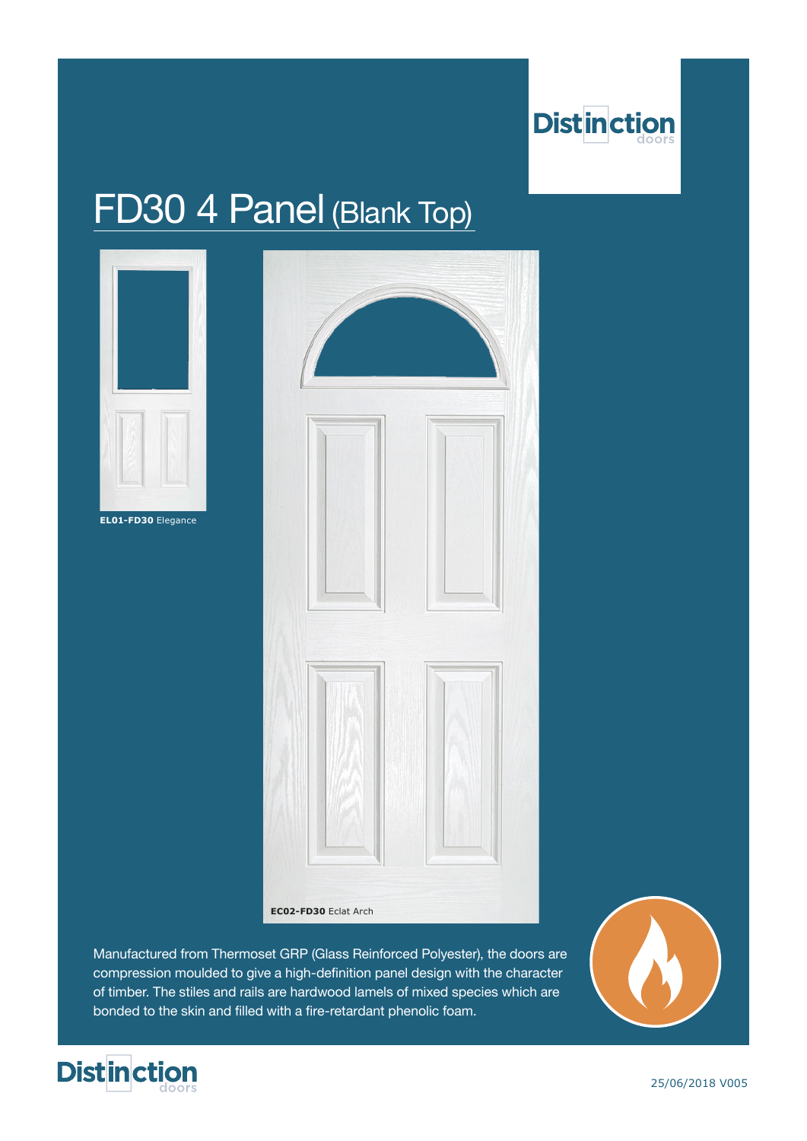

## FD30 4 Panel (Blank Top)



Manufactured from Thermoset GRP (Glass Reinforced Polyester), the doors are compression moulded to give a high-definition panel design with the character of timber. The stiles and rails are hardwood lamels of mixed species which are bonded to the skin and filled with a fire-retardant phenolic foam.